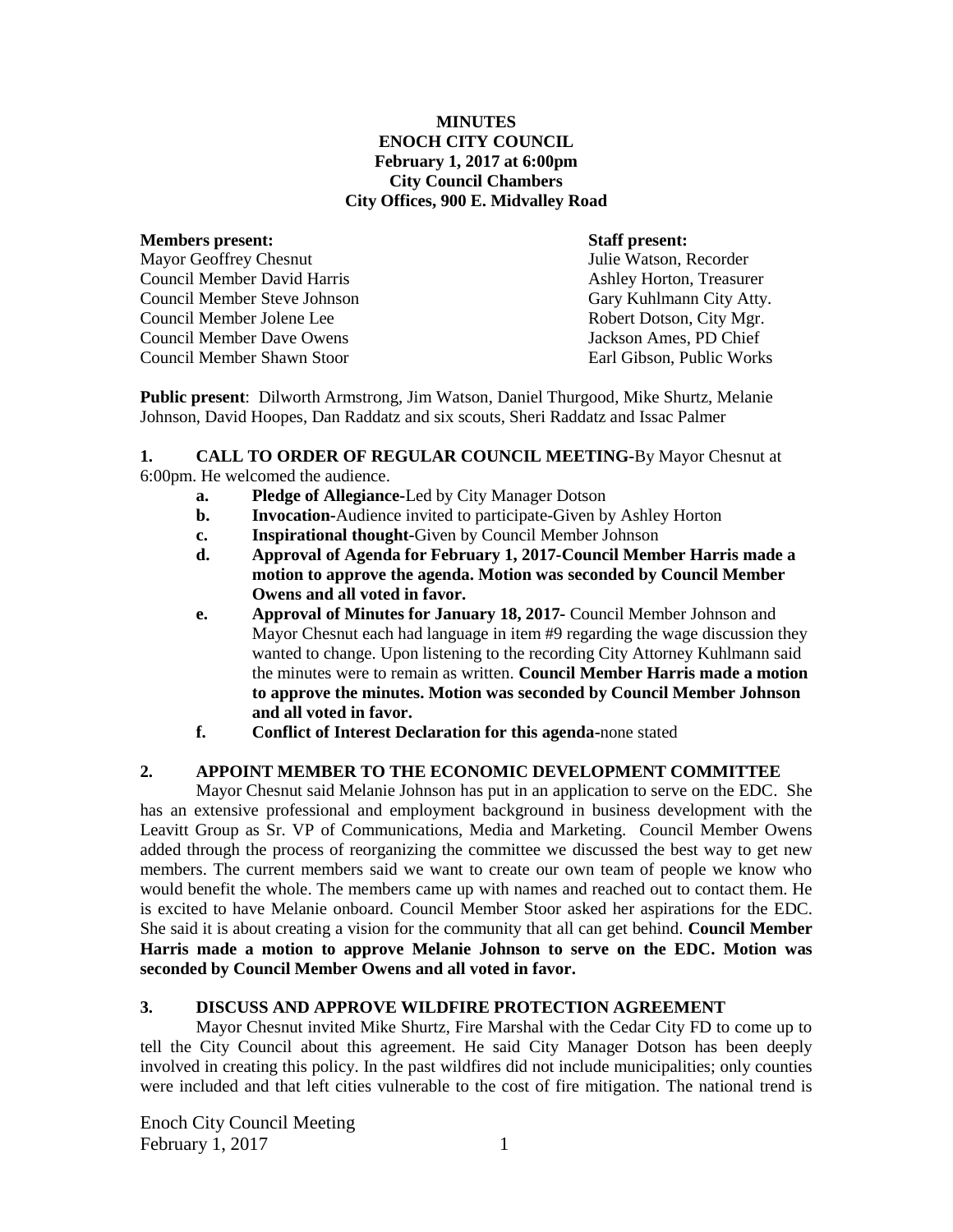#### **MINUTES ENOCH CITY COUNCIL February 1, 2017 at 6:00pm City Council Chambers City Offices, 900 E. Midvalley Road**

#### **Members present: Staff present:**

Mayor Geoffrey Chesnut Tulie Watson, Recorder Council Member David Harris **Ashley Horton, Treasurer** Ashley Horton, Treasurer Council Member Steve Johnson Gary Kuhlmann City Atty. Council Member Jolene Lee Robert Dotson, City Mgr. Council Member Dave Owens Jackson Ames, PD Chief Council Member Shawn Stoor Earl Gibson, Public Works

**Public present**: Dilworth Armstrong, Jim Watson, Daniel Thurgood, Mike Shurtz, Melanie Johnson, David Hoopes, Dan Raddatz and six scouts, Sheri Raddatz and Issac Palmer

#### **1. CALL TO ORDER OF REGULAR COUNCIL MEETING-**By Mayor Chesnut at 6:00pm. He welcomed the audience.

- **a. Pledge of Allegiance-**Led by City Manager Dotson
- **b. Invocation-**Audience invited to participate-Given by Ashley Horton
- **c. Inspirational thought-**Given by Council Member Johnson
- **d. Approval of Agenda for February 1, 2017-Council Member Harris made a motion to approve the agenda. Motion was seconded by Council Member Owens and all voted in favor.**
- **e. Approval of Minutes for January 18, 2017-** Council Member Johnson and Mayor Chesnut each had language in item #9 regarding the wage discussion they wanted to change. Upon listening to the recording City Attorney Kuhlmann said the minutes were to remain as written. **Council Member Harris made a motion to approve the minutes. Motion was seconded by Council Member Johnson and all voted in favor.**
- **f. Conflict of Interest Declaration for this agenda-**none stated

# **2. APPOINT MEMBER TO THE ECONOMIC DEVELOPMENT COMMITTEE**

Mayor Chesnut said Melanie Johnson has put in an application to serve on the EDC. She has an extensive professional and employment background in business development with the Leavitt Group as Sr. VP of Communications, Media and Marketing. Council Member Owens added through the process of reorganizing the committee we discussed the best way to get new members. The current members said we want to create our own team of people we know who would benefit the whole. The members came up with names and reached out to contact them. He is excited to have Melanie onboard. Council Member Stoor asked her aspirations for the EDC. She said it is about creating a vision for the community that all can get behind. **Council Member Harris made a motion to approve Melanie Johnson to serve on the EDC. Motion was seconded by Council Member Owens and all voted in favor.**

#### **3. DISCUSS AND APPROVE WILDFIRE PROTECTION AGREEMENT**

Mayor Chesnut invited Mike Shurtz, Fire Marshal with the Cedar City FD to come up to tell the City Council about this agreement. He said City Manager Dotson has been deeply involved in creating this policy. In the past wildfires did not include municipalities; only counties were included and that left cities vulnerable to the cost of fire mitigation. The national trend is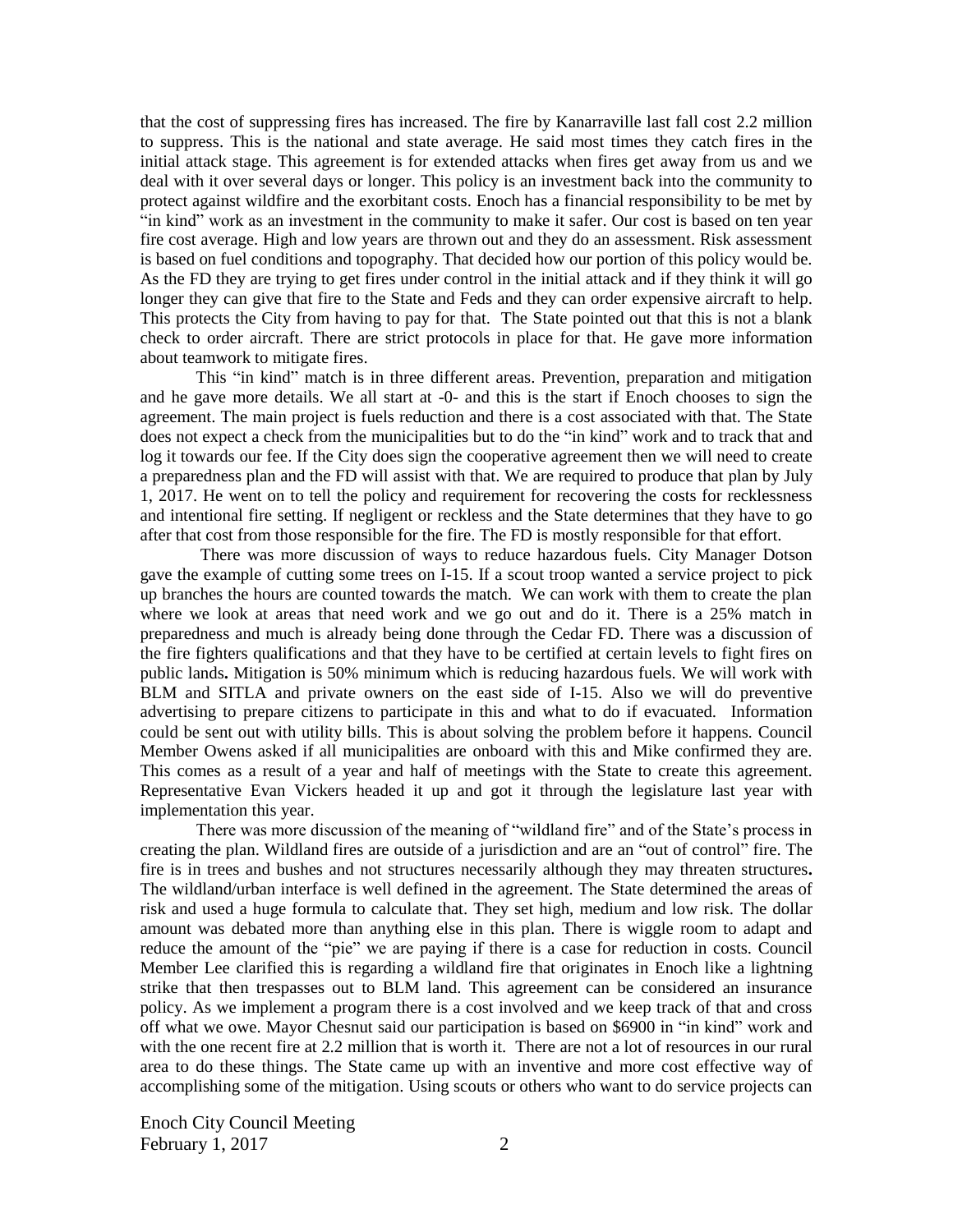that the cost of suppressing fires has increased. The fire by Kanarraville last fall cost 2.2 million to suppress. This is the national and state average. He said most times they catch fires in the initial attack stage. This agreement is for extended attacks when fires get away from us and we deal with it over several days or longer. This policy is an investment back into the community to protect against wildfire and the exorbitant costs. Enoch has a financial responsibility to be met by "in kind" work as an investment in the community to make it safer. Our cost is based on ten year fire cost average. High and low years are thrown out and they do an assessment. Risk assessment is based on fuel conditions and topography. That decided how our portion of this policy would be. As the FD they are trying to get fires under control in the initial attack and if they think it will go longer they can give that fire to the State and Feds and they can order expensive aircraft to help. This protects the City from having to pay for that. The State pointed out that this is not a blank check to order aircraft. There are strict protocols in place for that. He gave more information about teamwork to mitigate fires.

This "in kind" match is in three different areas. Prevention, preparation and mitigation and he gave more details. We all start at -0- and this is the start if Enoch chooses to sign the agreement. The main project is fuels reduction and there is a cost associated with that. The State does not expect a check from the municipalities but to do the "in kind" work and to track that and log it towards our fee. If the City does sign the cooperative agreement then we will need to create a preparedness plan and the FD will assist with that. We are required to produce that plan by July 1, 2017. He went on to tell the policy and requirement for recovering the costs for recklessness and intentional fire setting. If negligent or reckless and the State determines that they have to go after that cost from those responsible for the fire. The FD is mostly responsible for that effort.

There was more discussion of ways to reduce hazardous fuels. City Manager Dotson gave the example of cutting some trees on I-15. If a scout troop wanted a service project to pick up branches the hours are counted towards the match. We can work with them to create the plan where we look at areas that need work and we go out and do it. There is a 25% match in preparedness and much is already being done through the Cedar FD. There was a discussion of the fire fighters qualifications and that they have to be certified at certain levels to fight fires on public lands**.** Mitigation is 50% minimum which is reducing hazardous fuels. We will work with BLM and SITLA and private owners on the east side of I-15. Also we will do preventive advertising to prepare citizens to participate in this and what to do if evacuated.Information could be sent out with utility bills. This is about solving the problem before it happens. Council Member Owens asked if all municipalities are onboard with this and Mike confirmed they are. This comes as a result of a year and half of meetings with the State to create this agreement. Representative Evan Vickers headed it up and got it through the legislature last year with implementation this year.

There was more discussion of the meaning of "wildland fire" and of the State's process in creating the plan. Wildland fires are outside of a jurisdiction and are an "out of control" fire. The fire is in trees and bushes and not structures necessarily although they may threaten structures**.**  The wildland/urban interface is well defined in the agreement. The State determined the areas of risk and used a huge formula to calculate that. They set high, medium and low risk. The dollar amount was debated more than anything else in this plan. There is wiggle room to adapt and reduce the amount of the "pie" we are paying if there is a case for reduction in costs. Council Member Lee clarified this is regarding a wildland fire that originates in Enoch like a lightning strike that then trespasses out to BLM land. This agreement can be considered an insurance policy. As we implement a program there is a cost involved and we keep track of that and cross off what we owe. Mayor Chesnut said our participation is based on \$6900 in "in kind" work and with the one recent fire at 2.2 million that is worth it. There are not a lot of resources in our rural area to do these things. The State came up with an inventive and more cost effective way of accomplishing some of the mitigation. Using scouts or others who want to do service projects can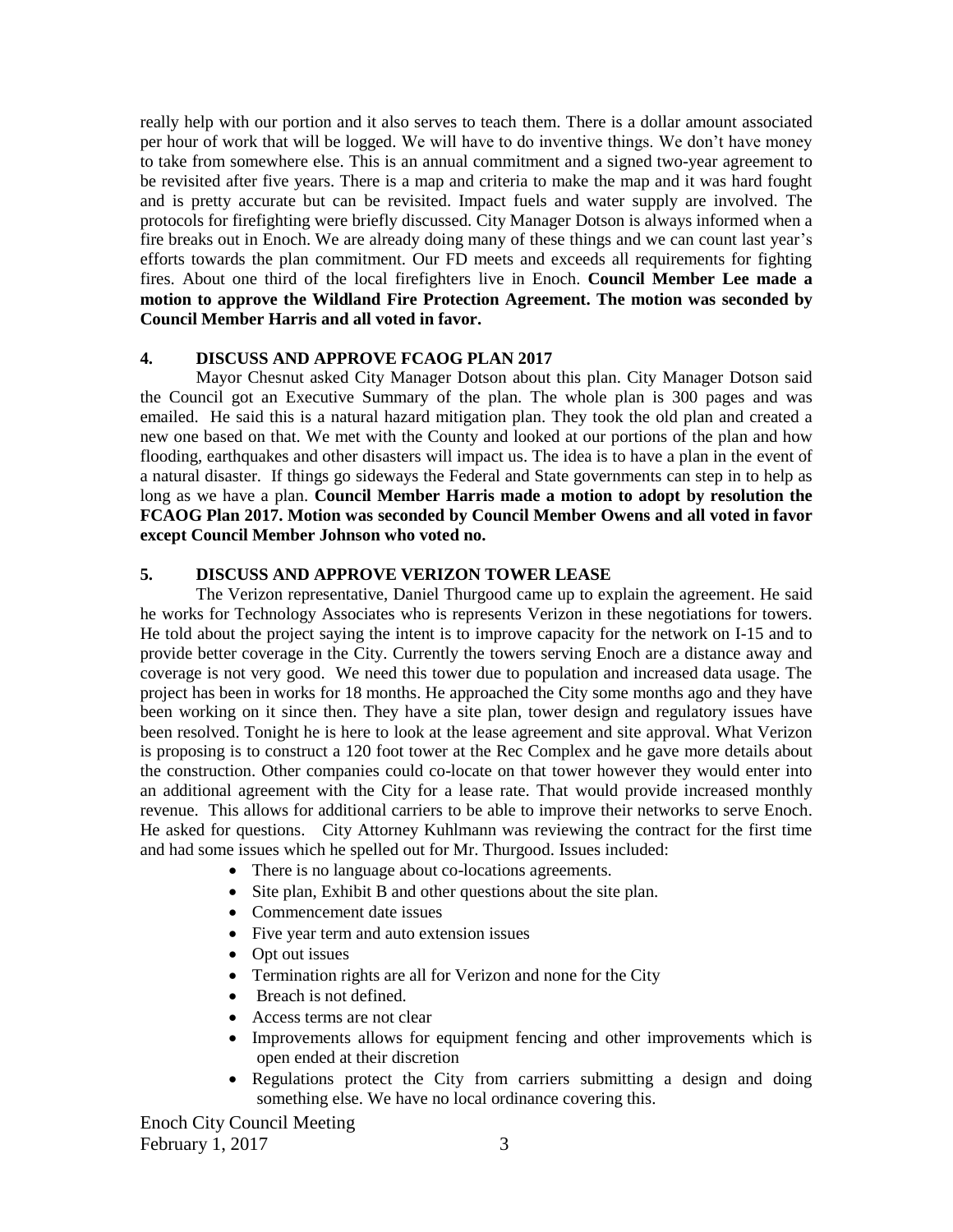really help with our portion and it also serves to teach them. There is a dollar amount associated per hour of work that will be logged. We will have to do inventive things. We don't have money to take from somewhere else. This is an annual commitment and a signed two-year agreement to be revisited after five years. There is a map and criteria to make the map and it was hard fought and is pretty accurate but can be revisited. Impact fuels and water supply are involved. The protocols for firefighting were briefly discussed. City Manager Dotson is always informed when a fire breaks out in Enoch. We are already doing many of these things and we can count last year's efforts towards the plan commitment. Our FD meets and exceeds all requirements for fighting fires. About one third of the local firefighters live in Enoch. **Council Member Lee made a motion to approve the Wildland Fire Protection Agreement. The motion was seconded by Council Member Harris and all voted in favor.** 

# **4. DISCUSS AND APPROVE FCAOG PLAN 2017**

Mayor Chesnut asked City Manager Dotson about this plan. City Manager Dotson said the Council got an Executive Summary of the plan. The whole plan is 300 pages and was emailed. He said this is a natural hazard mitigation plan. They took the old plan and created a new one based on that. We met with the County and looked at our portions of the plan and how flooding, earthquakes and other disasters will impact us. The idea is to have a plan in the event of a natural disaster. If things go sideways the Federal and State governments can step in to help as long as we have a plan. **Council Member Harris made a motion to adopt by resolution the FCAOG Plan 2017. Motion was seconded by Council Member Owens and all voted in favor except Council Member Johnson who voted no.**

## **5. DISCUSS AND APPROVE VERIZON TOWER LEASE**

The Verizon representative, Daniel Thurgood came up to explain the agreement. He said he works for Technology Associates who is represents Verizon in these negotiations for towers. He told about the project saying the intent is to improve capacity for the network on I-15 and to provide better coverage in the City. Currently the towers serving Enoch are a distance away and coverage is not very good. We need this tower due to population and increased data usage. The project has been in works for 18 months. He approached the City some months ago and they have been working on it since then. They have a site plan, tower design and regulatory issues have been resolved. Tonight he is here to look at the lease agreement and site approval. What Verizon is proposing is to construct a 120 foot tower at the Rec Complex and he gave more details about the construction. Other companies could co-locate on that tower however they would enter into an additional agreement with the City for a lease rate. That would provide increased monthly revenue. This allows for additional carriers to be able to improve their networks to serve Enoch. He asked for questions. City Attorney Kuhlmann was reviewing the contract for the first time and had some issues which he spelled out for Mr. Thurgood. Issues included:

- There is no language about co-locations agreements.
- Site plan, Exhibit B and other questions about the site plan.
- Commencement date issues
- Five year term and auto extension issues
- Opt out issues
- Termination rights are all for Verizon and none for the City
- Breach is not defined.
- Access terms are not clear
- Improvements allows for equipment fencing and other improvements which is open ended at their discretion
- Regulations protect the City from carriers submitting a design and doing something else. We have no local ordinance covering this.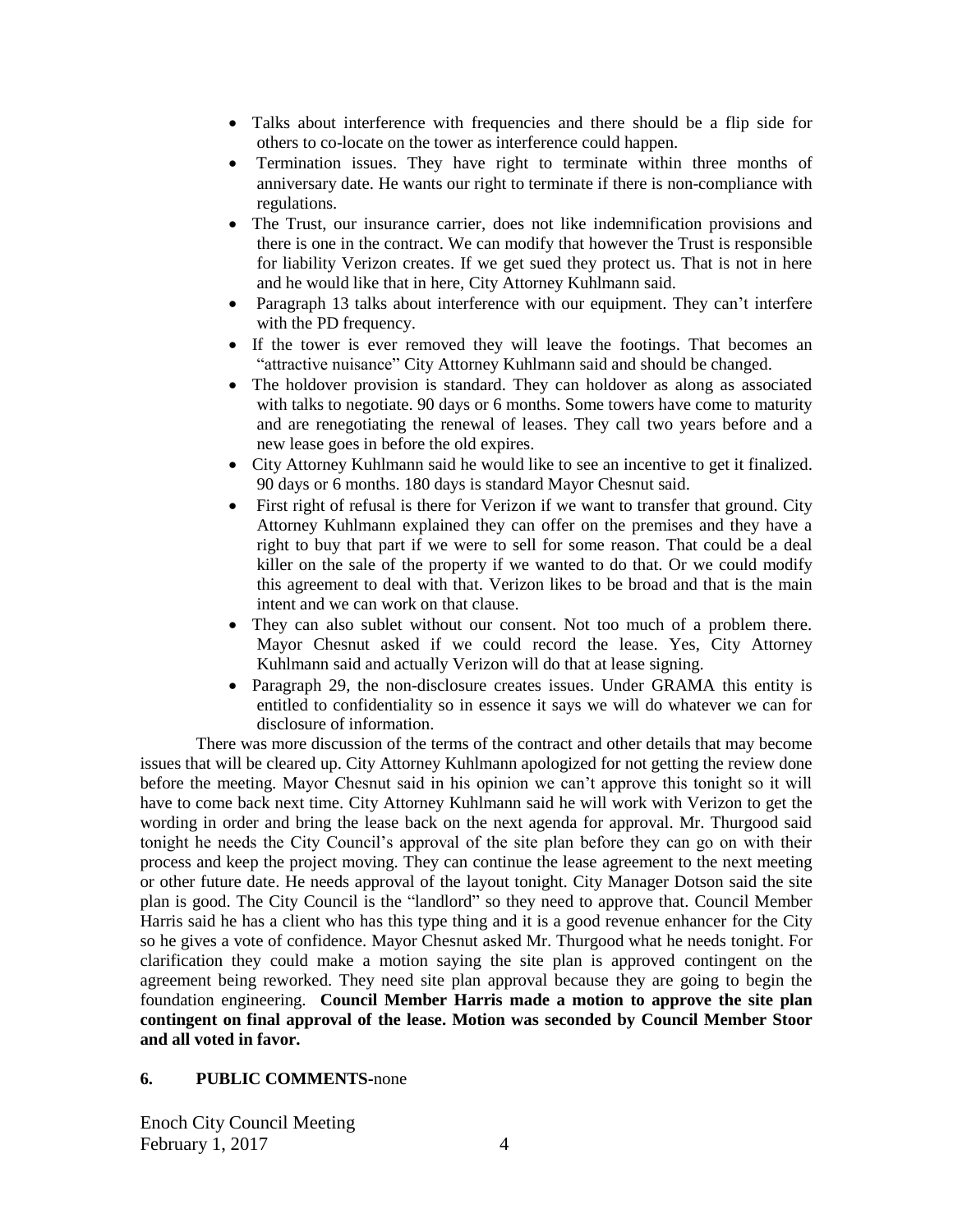- Talks about interference with frequencies and there should be a flip side for others to co-locate on the tower as interference could happen.
- Termination issues. They have right to terminate within three months of anniversary date. He wants our right to terminate if there is non-compliance with regulations.
- The Trust, our insurance carrier, does not like indemnification provisions and there is one in the contract. We can modify that however the Trust is responsible for liability Verizon creates. If we get sued they protect us. That is not in here and he would like that in here, City Attorney Kuhlmann said.
- Paragraph 13 talks about interference with our equipment. They can't interfere with the PD frequency.
- If the tower is ever removed they will leave the footings. That becomes an "attractive nuisance" City Attorney Kuhlmann said and should be changed.
- The holdover provision is standard. They can holdover as along as associated with talks to negotiate. 90 days or 6 months. Some towers have come to maturity and are renegotiating the renewal of leases. They call two years before and a new lease goes in before the old expires.
- City Attorney Kuhlmann said he would like to see an incentive to get it finalized. 90 days or 6 months. 180 days is standard Mayor Chesnut said.
- First right of refusal is there for Verizon if we want to transfer that ground. City Attorney Kuhlmann explained they can offer on the premises and they have a right to buy that part if we were to sell for some reason. That could be a deal killer on the sale of the property if we wanted to do that. Or we could modify this agreement to deal with that. Verizon likes to be broad and that is the main intent and we can work on that clause.
- They can also sublet without our consent. Not too much of a problem there. Mayor Chesnut asked if we could record the lease. Yes, City Attorney Kuhlmann said and actually Verizon will do that at lease signing.
- Paragraph 29, the non-disclosure creates issues. Under GRAMA this entity is entitled to confidentiality so in essence it says we will do whatever we can for disclosure of information.

There was more discussion of the terms of the contract and other details that may become issues that will be cleared up. City Attorney Kuhlmann apologized for not getting the review done before the meeting. Mayor Chesnut said in his opinion we can't approve this tonight so it will have to come back next time. City Attorney Kuhlmann said he will work with Verizon to get the wording in order and bring the lease back on the next agenda for approval. Mr. Thurgood said tonight he needs the City Council's approval of the site plan before they can go on with their process and keep the project moving. They can continue the lease agreement to the next meeting or other future date. He needs approval of the layout tonight. City Manager Dotson said the site plan is good. The City Council is the "landlord" so they need to approve that. Council Member Harris said he has a client who has this type thing and it is a good revenue enhancer for the City so he gives a vote of confidence. Mayor Chesnut asked Mr. Thurgood what he needs tonight. For clarification they could make a motion saying the site plan is approved contingent on the agreement being reworked. They need site plan approval because they are going to begin the foundation engineering. **Council Member Harris made a motion to approve the site plan contingent on final approval of the lease. Motion was seconded by Council Member Stoor and all voted in favor.** 

# **6. PUBLIC COMMENTS-**none